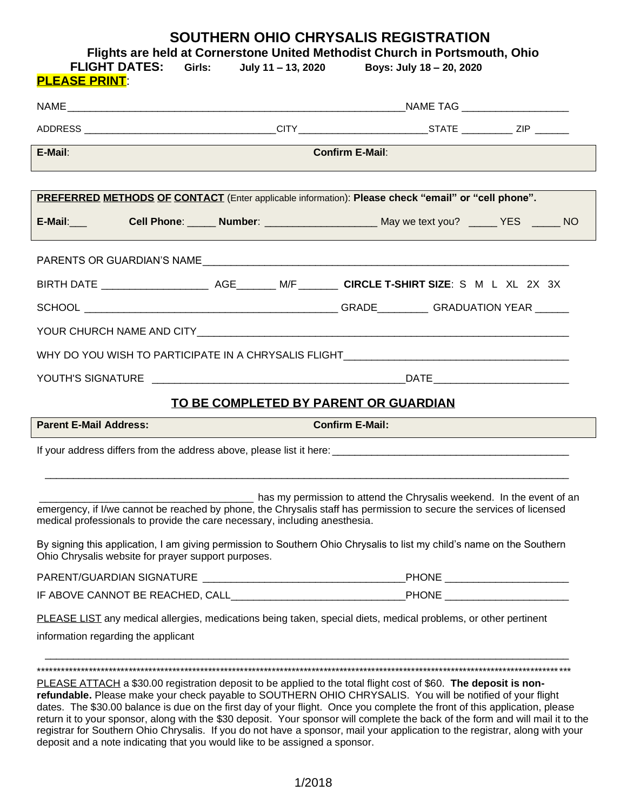## **SOUTHERN OHIO CHRYSALIS REGISTRATION**

**Flights are held at Cornerstone United Methodist Church in Portsmouth, Ohio**

| <b>FLIGHT DATES: Girls:</b><br><b>PLEASE PRINT:</b>                                                                                                                                                                                                                                                                                                          | July 11 – 13, 2020                    | Boys: July 18 - 20, 2020                                              |  |  |  |
|--------------------------------------------------------------------------------------------------------------------------------------------------------------------------------------------------------------------------------------------------------------------------------------------------------------------------------------------------------------|---------------------------------------|-----------------------------------------------------------------------|--|--|--|
|                                                                                                                                                                                                                                                                                                                                                              |                                       |                                                                       |  |  |  |
| ADDRESS __________________________________CITY ________________________STATE ____________ZIP _______                                                                                                                                                                                                                                                         |                                       |                                                                       |  |  |  |
| <u> 1989 - Andrea Stadt Britain, amerikansk politik (d. 1989)</u><br><b>Confirm E-Mail:</b><br>E-Mail:                                                                                                                                                                                                                                                       |                                       |                                                                       |  |  |  |
| PREFERRED METHODS OF CONTACT (Enter applicable information): Please check "email" or "cell phone".                                                                                                                                                                                                                                                           |                                       |                                                                       |  |  |  |
| E-Mail: Cell Phone: Number: Number: May we text you? No YES NO                                                                                                                                                                                                                                                                                               |                                       |                                                                       |  |  |  |
|                                                                                                                                                                                                                                                                                                                                                              |                                       |                                                                       |  |  |  |
|                                                                                                                                                                                                                                                                                                                                                              |                                       |                                                                       |  |  |  |
|                                                                                                                                                                                                                                                                                                                                                              |                                       |                                                                       |  |  |  |
|                                                                                                                                                                                                                                                                                                                                                              |                                       |                                                                       |  |  |  |
| WHY DO YOU WISH TO PARTICIPATE IN A CHRYSALIS FLIGHT____________________________                                                                                                                                                                                                                                                                             |                                       |                                                                       |  |  |  |
|                                                                                                                                                                                                                                                                                                                                                              |                                       |                                                                       |  |  |  |
|                                                                                                                                                                                                                                                                                                                                                              | TO BE COMPLETED BY PARENT OR GUARDIAN |                                                                       |  |  |  |
| <b>Parent E-Mail Address:</b>                                                                                                                                                                                                                                                                                                                                | <b>Confirm E-Mail:</b>                |                                                                       |  |  |  |
|                                                                                                                                                                                                                                                                                                                                                              |                                       |                                                                       |  |  |  |
|                                                                                                                                                                                                                                                                                                                                                              |                                       |                                                                       |  |  |  |
| emergency, if I/we cannot be reached by phone, the Chrysalis staff has permission to secure the services of licensed<br>medical professionals to provide the care necessary, including anesthesia.<br>By signing this application, I am giving permission to Southern Ohio Chrysalis to list my child's name on the Southern                                 |                                       | has my permission to attend the Chrysalis weekend. In the event of an |  |  |  |
| Ohio Chrysalis website for prayer support purposes.                                                                                                                                                                                                                                                                                                          |                                       |                                                                       |  |  |  |
|                                                                                                                                                                                                                                                                                                                                                              |                                       |                                                                       |  |  |  |
|                                                                                                                                                                                                                                                                                                                                                              |                                       |                                                                       |  |  |  |
| PLEASE LIST any medical allergies, medications being taken, special diets, medical problems, or other pertinent<br>information regarding the applicant                                                                                                                                                                                                       |                                       |                                                                       |  |  |  |
| PLEASE ATTACH a \$30.00 registration deposit to be applied to the total flight cost of \$60. The deposit is non-<br>refundable. Please make your check payable to SOUTHERN OHIO CHRYSALIS. You will be notified of your flight<br>dates. The \$30.00 balance is due on the first day of your flight. Once you complete the front of this application, please |                                       |                                                                       |  |  |  |

return it to your sponsor, along with the \$30 deposit. Your sponsor will complete the back of the form and will mail it to the registrar for Southern Ohio Chrysalis. If you do not have a sponsor, mail your application to the registrar, along with your deposit and a note indicating that you would like to be assigned a sponsor.